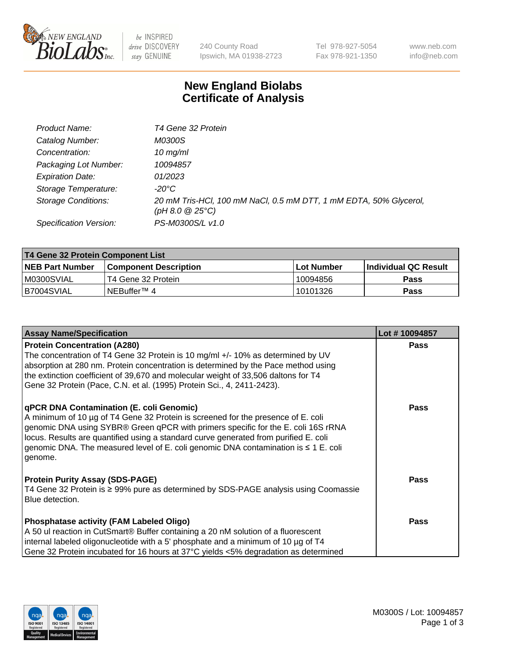

 $be$  INSPIRED drive DISCOVERY stay GENUINE

240 County Road Ipswich, MA 01938-2723 Tel 978-927-5054 Fax 978-921-1350 www.neb.com info@neb.com

## **New England Biolabs Certificate of Analysis**

| Product Name:              | T4 Gene 32 Protein                                                                       |
|----------------------------|------------------------------------------------------------------------------------------|
| Catalog Number:            | <i>M0300S</i>                                                                            |
| Concentration:             | $10 \, \text{mg/ml}$                                                                     |
| Packaging Lot Number:      | 10094857                                                                                 |
| <b>Expiration Date:</b>    | 01/2023                                                                                  |
| Storage Temperature:       | -20°C                                                                                    |
| <b>Storage Conditions:</b> | 20 mM Tris-HCl, 100 mM NaCl, 0.5 mM DTT, 1 mM EDTA, 50% Glycerol,<br>$(pH 8.0 \ @ 25°C)$ |
| Specification Version:     | PS-M0300S/L v1.0                                                                         |

| T4 Gene 32 Protein Component List |                              |            |                       |  |  |
|-----------------------------------|------------------------------|------------|-----------------------|--|--|
| <b>NEB Part Number</b>            | <b>Component Description</b> | Lot Number | ∣Individual QC Result |  |  |
| IM0300SVIAL                       | T4 Gene 32 Protein           | 10094856   | <b>Pass</b>           |  |  |
| B7004SVIAL                        | INEBuffer™ 4∶                | 10101326   | Pass                  |  |  |

| <b>Assay Name/Specification</b>                                                                                                                                                                                                                                                                                                                                                                                         | Lot #10094857 |
|-------------------------------------------------------------------------------------------------------------------------------------------------------------------------------------------------------------------------------------------------------------------------------------------------------------------------------------------------------------------------------------------------------------------------|---------------|
| <b>Protein Concentration (A280)</b><br>The concentration of T4 Gene 32 Protein is 10 mg/ml +/- 10% as determined by UV<br>absorption at 280 nm. Protein concentration is determined by the Pace method using<br>the extinction coefficient of 39,670 and molecular weight of 33,506 daltons for T4<br>Gene 32 Protein (Pace, C.N. et al. (1995) Protein Sci., 4, 2411-2423).                                            | <b>Pass</b>   |
| <b>qPCR DNA Contamination (E. coli Genomic)</b><br>A minimum of 10 µg of T4 Gene 32 Protein is screened for the presence of E. coli<br>genomic DNA using SYBR® Green qPCR with primers specific for the E. coli 16S rRNA<br>locus. Results are quantified using a standard curve generated from purified E. coli<br>genomic DNA. The measured level of E. coli genomic DNA contamination is $\leq 1$ E. coli<br>genome. | <b>Pass</b>   |
| <b>Protein Purity Assay (SDS-PAGE)</b><br>T4 Gene 32 Protein is ≥ 99% pure as determined by SDS-PAGE analysis using Coomassie<br>l Blue detection.                                                                                                                                                                                                                                                                      | <b>Pass</b>   |
| Phosphatase activity (FAM Labeled Oligo)<br>A 50 ul reaction in CutSmart® Buffer containing a 20 nM solution of a fluorescent<br>internal labeled oligonucleotide with a 5' phosphate and a minimum of 10 µg of T4<br>Gene 32 Protein incubated for 16 hours at 37°C yields <5% degradation as determined                                                                                                               | <b>Pass</b>   |

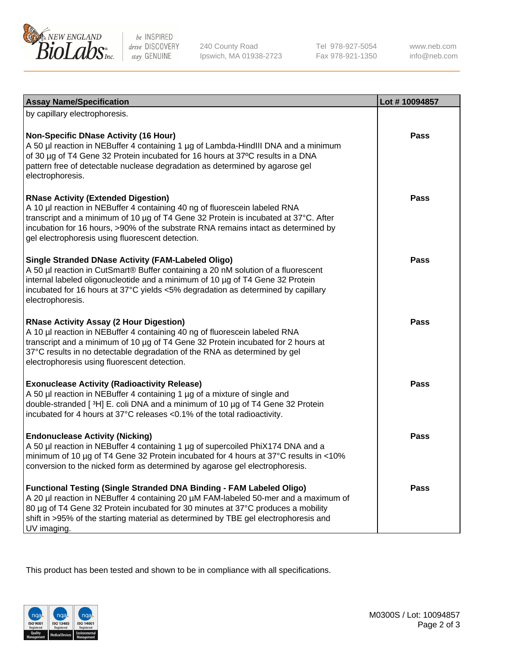

 $be$  INSPIRED drive DISCOVERY stay GENUINE

240 County Road Ipswich, MA 01938-2723 Tel 978-927-5054 Fax 978-921-1350 www.neb.com info@neb.com

| <b>Assay Name/Specification</b>                                                                                                                                                                                                                                                                                                                           | Lot #10094857 |
|-----------------------------------------------------------------------------------------------------------------------------------------------------------------------------------------------------------------------------------------------------------------------------------------------------------------------------------------------------------|---------------|
| by capillary electrophoresis.<br><b>Non-Specific DNase Activity (16 Hour)</b><br>A 50 µl reaction in NEBuffer 4 containing 1 µg of Lambda-HindIII DNA and a minimum<br>of 30 µg of T4 Gene 32 Protein incubated for 16 hours at 37°C results in a DNA<br>pattern free of detectable nuclease degradation as determined by agarose gel<br>electrophoresis. | <b>Pass</b>   |
| <b>RNase Activity (Extended Digestion)</b><br>A 10 µl reaction in NEBuffer 4 containing 40 ng of fluorescein labeled RNA<br>transcript and a minimum of 10 µg of T4 Gene 32 Protein is incubated at 37°C. After<br>incubation for 16 hours, >90% of the substrate RNA remains intact as determined by<br>gel electrophoresis using fluorescent detection. | <b>Pass</b>   |
| <b>Single Stranded DNase Activity (FAM-Labeled Oligo)</b><br>A 50 µl reaction in CutSmart® Buffer containing a 20 nM solution of a fluorescent<br>internal labeled oligonucleotide and a minimum of 10 µg of T4 Gene 32 Protein<br>incubated for 16 hours at 37°C yields <5% degradation as determined by capillary<br>electrophoresis.                   | <b>Pass</b>   |
| <b>RNase Activity Assay (2 Hour Digestion)</b><br>A 10 µl reaction in NEBuffer 4 containing 40 ng of fluorescein labeled RNA<br>transcript and a minimum of 10 µg of T4 Gene 32 Protein incubated for 2 hours at<br>37°C results in no detectable degradation of the RNA as determined by gel<br>electrophoresis using fluorescent detection.             | <b>Pass</b>   |
| <b>Exonuclease Activity (Radioactivity Release)</b><br>A 50 µl reaction in NEBuffer 4 containing 1 µg of a mixture of single and<br>double-stranded [3H] E. coli DNA and a minimum of 10 µg of T4 Gene 32 Protein<br>incubated for 4 hours at 37°C releases <0.1% of the total radioactivity.                                                             | <b>Pass</b>   |
| <b>Endonuclease Activity (Nicking)</b><br>A 50 µl reaction in NEBuffer 4 containing 1 µg of supercoiled PhiX174 DNA and a<br>minimum of 10 µg of T4 Gene 32 Protein incubated for 4 hours at 37°C results in <10%<br>conversion to the nicked form as determined by agarose gel electrophoresis.                                                          | <b>Pass</b>   |
| Functional Testing (Single Stranded DNA Binding - FAM Labeled Oligo)<br>A 20 µl reaction in NEBuffer 4 containing 20 µM FAM-labeled 50-mer and a maximum of<br>80 µg of T4 Gene 32 Protein incubated for 30 minutes at 37°C produces a mobility<br>shift in >95% of the starting material as determined by TBE gel electrophoresis and<br>UV imaging.     | Pass          |

This product has been tested and shown to be in compliance with all specifications.